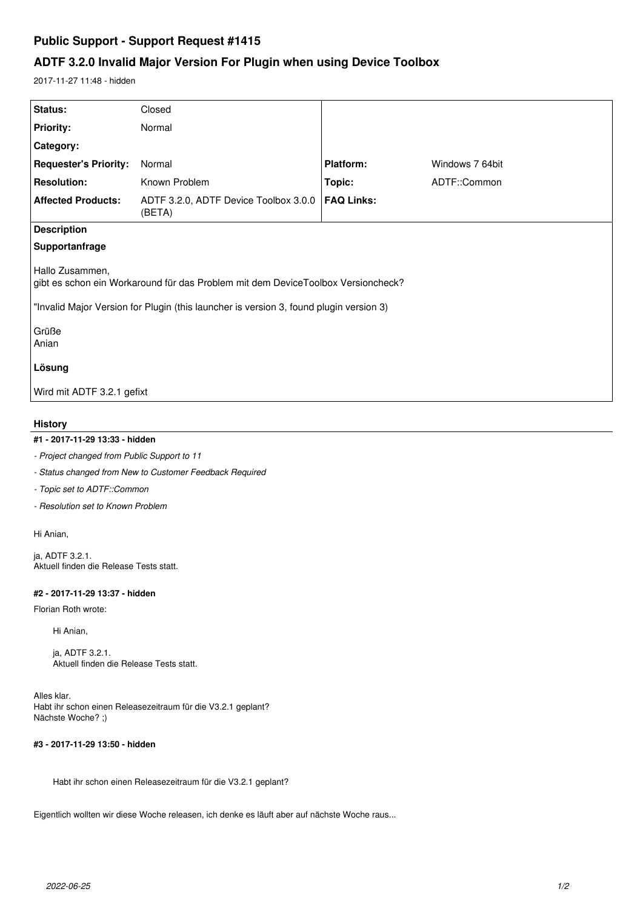# **Public Support - Support Request #1415**

# **ADTF 3.2.0 Invalid Major Version For Plugin when using Device Toolbox**

2017-11-27 11:48 - hidden

| Status:                                                                                             | Closed                                          |                   |                 |
|-----------------------------------------------------------------------------------------------------|-------------------------------------------------|-------------------|-----------------|
| <b>Priority:</b>                                                                                    | Normal                                          |                   |                 |
| Category:                                                                                           |                                                 |                   |                 |
| <b>Requester's Priority:</b>                                                                        | Normal                                          | <b>Platform:</b>  | Windows 7 64bit |
| <b>Resolution:</b>                                                                                  | Known Problem                                   | Topic:            | ADTF::Common    |
| <b>Affected Products:</b>                                                                           | ADTF 3.2.0, ADTF Device Toolbox 3.0.0<br>(BETA) | <b>FAQ Links:</b> |                 |
| <b>Description</b>                                                                                  |                                                 |                   |                 |
| Supportanfrage                                                                                      |                                                 |                   |                 |
| Hallo Zusammen,<br>gibt es schon ein Workaround für das Problem mit dem DeviceToolbox Versioncheck? |                                                 |                   |                 |
| "Invalid Major Version for Plugin (this launcher is version 3, found plugin version 3)              |                                                 |                   |                 |
| Grüße<br>Anian                                                                                      |                                                 |                   |                 |
| Lösung                                                                                              |                                                 |                   |                 |
| Wird mit ADTF 3.2.1 gefixt                                                                          |                                                 |                   |                 |

### **History**

### **#1 - 2017-11-29 13:33 - hidden**

*- Project changed from Public Support to 11*

- *Status changed from New to Customer Feedback Required*
- *Topic set to ADTF::Common*
- *Resolution set to Known Problem*

Hi Anian,

ja, ADTF 3.2.1. Aktuell finden die Release Tests statt.

#### **#2 - 2017-11-29 13:37 - hidden**

Florian Roth wrote:

Hi Anian,

ja, ADTF 3.2.1. Aktuell finden die Release Tests statt.

Alles klar. Habt ihr schon einen Releasezeitraum für die V3.2.1 geplant? Nächste Woche? ;)

## **#3 - 2017-11-29 13:50 - hidden**

Habt ihr schon einen Releasezeitraum für die V3.2.1 geplant?

Eigentlich wollten wir diese Woche releasen, ich denke es läuft aber auf nächste Woche raus...